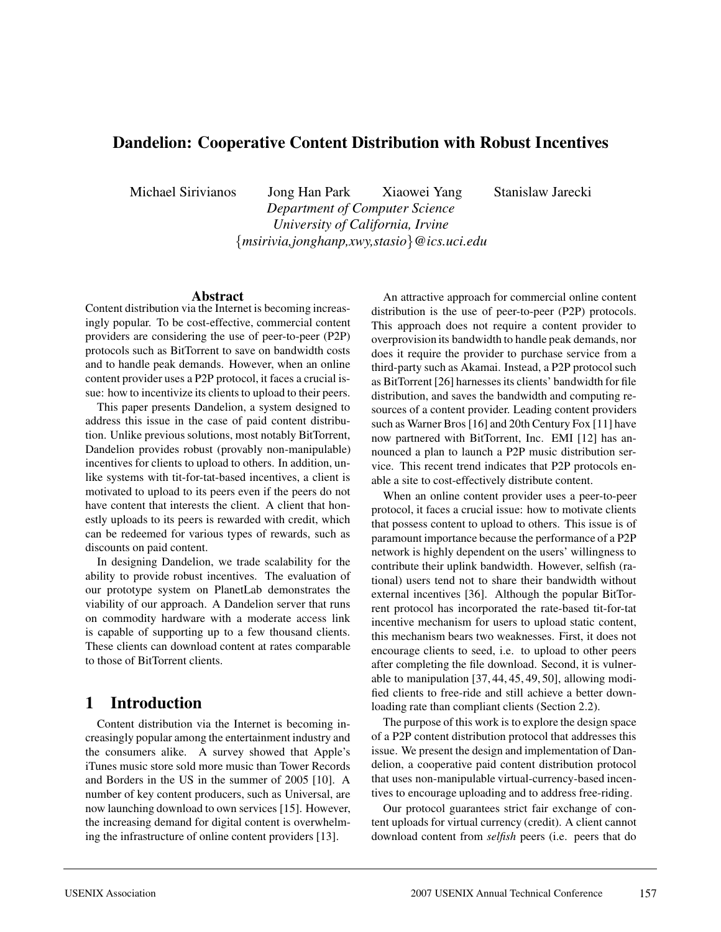## **Dandelion: Cooperative Content Distribution with Robust Incentives**

Michael Sirivianos Jong Han Park Xiaowei Yang Stanislaw Jarecki *Department of Computer Science University of California, Irvine* {*msirivia,jonghanp,xwy,stasio*}*@ics.uci.edu*

### **Abstract**

Content distribution via the Internet is becoming increasingly popular. To be cost-effective, commercial content providers are considering the use of peer-to-peer (P2P) protocols such as BitTorrent to save on bandwidth costs and to handle peak demands. However, when an online content provider uses a P2P protocol, it faces a crucial issue: how to incentivize its clients to upload to their peers.

This paper presents Dandelion, a system designed to address this issue in the case of paid content distribution. Unlike previous solutions, most notably BitTorrent, Dandelion provides robust (provably non-manipulable) incentives for clients to upload to others. In addition, unlike systems with tit-for-tat-based incentives, a client is motivated to upload to its peers even if the peers do not have content that interests the client. A client that honestly uploads to its peers is rewarded with credit, which can be redeemed for various types of rewards, such as discounts on paid content.

In designing Dandelion, we trade scalability for the ability to provide robust incentives. The evaluation of our prototype system on PlanetLab demonstrates the viability of our approach. A Dandelion server that runs on commodity hardware with a moderate access link is capable of supporting up to a few thousand clients. These clients can download content at rates comparable to those of BitTorrent clients.

## **1 Introduction**

Content distribution via the Internet is becoming increasingly popular among the entertainment industry and the consumers alike. A survey showed that Apple's iTunes music store sold more music than Tower Records and Borders in the US in the summer of 2005 [10]. A number of key content producers, such as Universal, are now launching download to own services [15]. However, the increasing demand for digital content is overwhelming the infrastructure of online content providers [13].

An attractive approach for commercial online content distribution is the use of peer-to-peer (P2P) protocols. This approach does not require a content provider to overprovision its bandwidth to handle peak demands, nor does it require the provider to purchase service from a third-party such as Akamai. Instead, a P2P protocol such as BitTorrent [26] harnesses its clients' bandwidth for file distribution, and saves the bandwidth and computing resources of a content provider. Leading content providers such as Warner Bros [16] and 20th Century Fox [11] have now partnered with BitTorrent, Inc. EMI [12] has announced a plan to launch a P2P music distribution service. This recent trend indicates that P2P protocols enable a site to cost-effectively distribute content.

When an online content provider uses a peer-to-peer protocol, it faces a crucial issue: how to motivate clients that possess content to upload to others. This issue is of paramount importance because the performance of a P2P network is highly dependent on the users' willingness to contribute their uplink bandwidth. However, selfish (rational) users tend not to share their bandwidth without external incentives [36]. Although the popular BitTorrent protocol has incorporated the rate-based tit-for-tat incentive mechanism for users to upload static content, this mechanism bears two weaknesses. First, it does not encourage clients to seed, i.e. to upload to other peers after completing the file download. Second, it is vulnerable to manipulation [37, 44, 45, 49, 50], allowing modified clients to free-ride and still achieve a better downloading rate than compliant clients (Section 2.2).

The purpose of this work is to explore the design space of a P2P content distribution protocol that addresses this issue. We present the design and implementation of Dandelion, a cooperative paid content distribution protocol that uses non-manipulable virtual-currency-based incentives to encourage uploading and to address free-riding.

Our protocol guarantees strict fair exchange of content uploads for virtual currency (credit). A client cannot download content from *selfish* peers (i.e. peers that do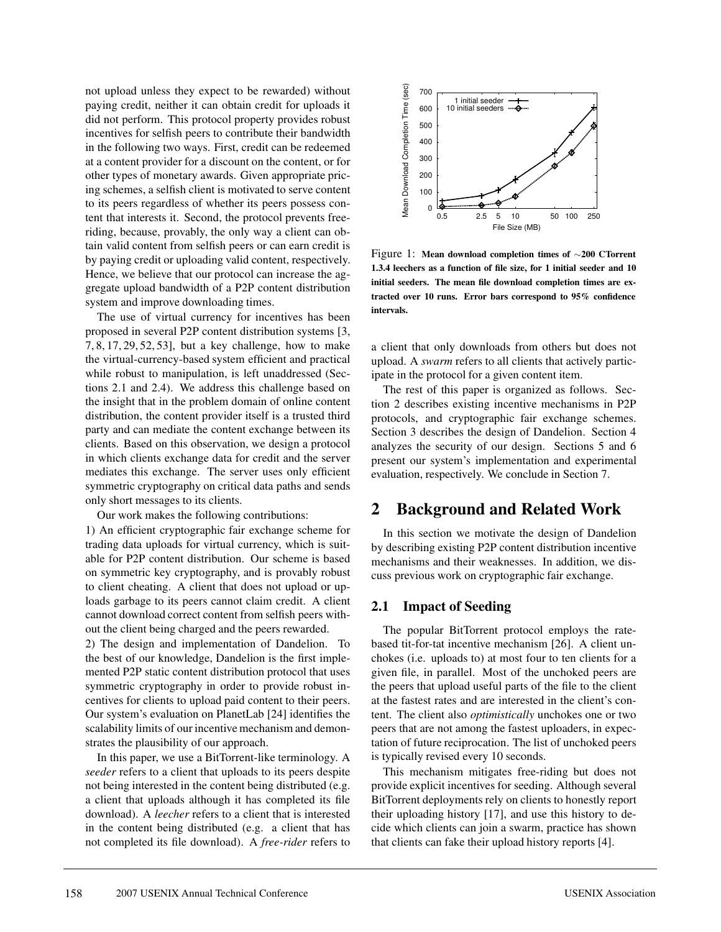not upload unless they expect to be rewarded) without paying credit, neither it can obtain credit for uploads it did not perform. This protocol property provides robust incentives for selfish peers to contribute their bandwidth in the following two ways. First, credit can be redeemed at a content provider for a discount on the content, or for other types of monetary awards. Given appropriate pricing schemes, a selfish client is motivated to serve content to its peers regardless of whether its peers possess content that interests it. Second, the protocol prevents freeriding, because, provably, the only way a client can obtain valid content from selfish peers or can earn credit is by paying credit or uploading valid content, respectively. Hence, we believe that our protocol can increase the aggregate upload bandwidth of a P2P content distribution system and improve downloading times.

The use of virtual currency for incentives has been proposed in several P2P content distribution systems [3, 7, 8, 17, 29, 52, 53], but a key challenge, how to make the virtual-currency-based system efficient and practical while robust to manipulation, is left unaddressed (Sections 2.1 and 2.4). We address this challenge based on the insight that in the problem domain of online content distribution, the content provider itself is a trusted third party and can mediate the content exchange between its clients. Based on this observation, we design a protocol in which clients exchange data for credit and the server mediates this exchange. The server uses only efficient symmetric cryptography on critical data paths and sends only short messages to its clients.

Our work makes the following contributions:

1) An efficient cryptographic fair exchange scheme for trading data uploads for virtual currency, which is suitable for P2P content distribution. Our scheme is based on symmetric key cryptography, and is provably robust to client cheating. A client that does not upload or uploads garbage to its peers cannot claim credit. A client cannot download correct content from selfish peers without the client being charged and the peers rewarded.

2) The design and implementation of Dandelion. To the best of our knowledge, Dandelion is the first implemented P2P static content distribution protocol that uses symmetric cryptography in order to provide robust incentives for clients to upload paid content to their peers. Our system's evaluation on PlanetLab [24] identifies the scalability limits of our incentive mechanism and demonstrates the plausibility of our approach.

In this paper, we use a BitTorrent-like terminology. A *seeder* refers to a client that uploads to its peers despite not being interested in the content being distributed (e.g. a client that uploads although it has completed its file download). A *leecher* refers to a client that is interested in the content being distributed (e.g. a client that has not completed its file download). A *free-rider* refers to



Figure 1: **Mean download completion times of** ∼**200 CTorrent 1.3.4 leechers as a function of file size, for 1 initial seeder and 10 initial seeders. The mean file download completion times are extracted over 10 runs. Error bars correspond to 95% confidence intervals.**

a client that only downloads from others but does not upload. A *swarm* refers to all clients that actively participate in the protocol for a given content item.

The rest of this paper is organized as follows. Section 2 describes existing incentive mechanisms in P2P protocols, and cryptographic fair exchange schemes. Section 3 describes the design of Dandelion. Section 4 analyzes the security of our design. Sections 5 and 6 present our system's implementation and experimental evaluation, respectively. We conclude in Section 7.

## **2 Background and Related Work**

In this section we motivate the design of Dandelion by describing existing P2P content distribution incentive mechanisms and their weaknesses. In addition, we discuss previous work on cryptographic fair exchange.

### **2.1 Impact of Seeding**

The popular BitTorrent protocol employs the ratebased tit-for-tat incentive mechanism [26]. A client unchokes (i.e. uploads to) at most four to ten clients for a given file, in parallel. Most of the unchoked peers are the peers that upload useful parts of the file to the client at the fastest rates and are interested in the client's content. The client also *optimistically* unchokes one or two peers that are not among the fastest uploaders, in expectation of future reciprocation. The list of unchoked peers is typically revised every 10 seconds.

This mechanism mitigates free-riding but does not provide explicit incentives for seeding. Although several BitTorrent deployments rely on clients to honestly report their uploading history [17], and use this history to decide which clients can join a swarm, practice has shown that clients can fake their upload history reports [4].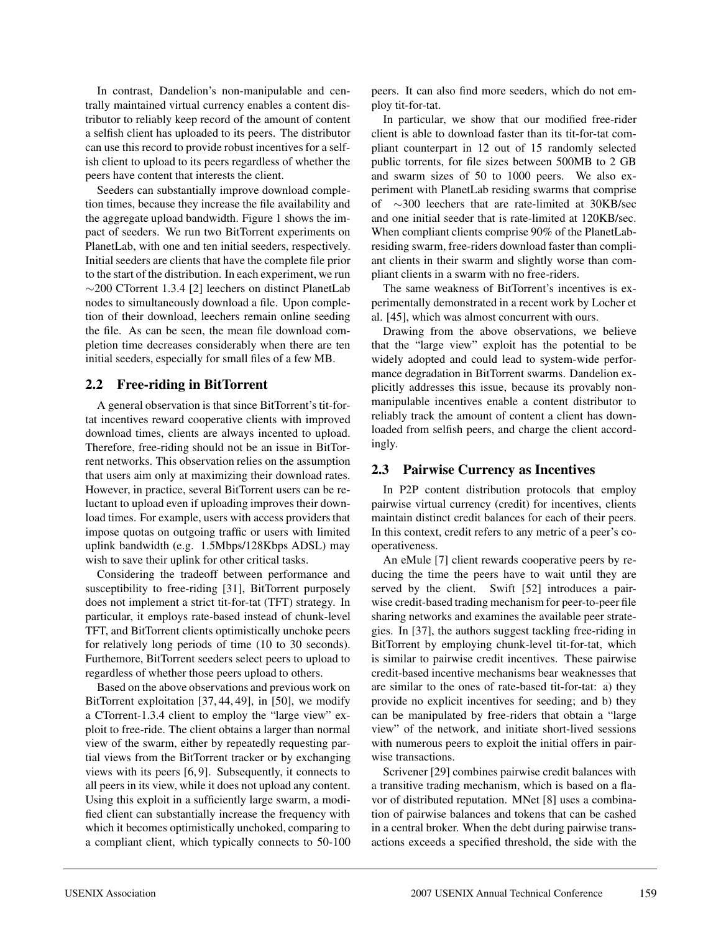In contrast, Dandelion's non-manipulable and centrally maintained virtual currency enables a content distributor to reliably keep record of the amount of content a selfish client has uploaded to its peers. The distributor can use this record to provide robust incentives for a selfish client to upload to its peers regardless of whether the peers have content that interests the client.

Seeders can substantially improve download completion times, because they increase the file availability and the aggregate upload bandwidth. Figure 1 shows the impact of seeders. We run two BitTorrent experiments on PlanetLab, with one and ten initial seeders, respectively. Initial seeders are clients that have the complete file prior to the start of the distribution. In each experiment, we run ∼200 CTorrent 1.3.4 [2] leechers on distinct PlanetLab nodes to simultaneously download a file. Upon completion of their download, leechers remain online seeding the file. As can be seen, the mean file download completion time decreases considerably when there are ten initial seeders, especially for small files of a few MB.

### **2.2 Free-riding in BitTorrent**

A general observation is that since BitTorrent's tit-fortat incentives reward cooperative clients with improved download times, clients are always incented to upload. Therefore, free-riding should not be an issue in BitTorrent networks. This observation relies on the assumption that users aim only at maximizing their download rates. However, in practice, several BitTorrent users can be reluctant to upload even if uploading improves their download times. For example, users with access providers that impose quotas on outgoing traffic or users with limited uplink bandwidth (e.g. 1.5Mbps/128Kbps ADSL) may wish to save their uplink for other critical tasks.

Considering the tradeoff between performance and susceptibility to free-riding [31], BitTorrent purposely does not implement a strict tit-for-tat (TFT) strategy. In particular, it employs rate-based instead of chunk-level TFT, and BitTorrent clients optimistically unchoke peers for relatively long periods of time (10 to 30 seconds). Furthemore, BitTorrent seeders select peers to upload to regardless of whether those peers upload to others.

Based on the above observations and previous work on BitTorrent exploitation [37, 44, 49], in [50], we modify a CTorrent-1.3.4 client to employ the "large view" exploit to free-ride. The client obtains a larger than normal view of the swarm, either by repeatedly requesting partial views from the BitTorrent tracker or by exchanging views with its peers [6, 9]. Subsequently, it connects to all peers in its view, while it does not upload any content. Using this exploit in a sufficiently large swarm, a modified client can substantially increase the frequency with which it becomes optimistically unchoked, comparing to a compliant client, which typically connects to 50-100

peers. It can also find more seeders, which do not employ tit-for-tat.

In particular, we show that our modified free-rider client is able to download faster than its tit-for-tat compliant counterpart in 12 out of 15 randomly selected public torrents, for file sizes between 500MB to 2 GB and swarm sizes of 50 to 1000 peers. We also experiment with PlanetLab residing swarms that comprise of ∼300 leechers that are rate-limited at 30KB/sec and one initial seeder that is rate-limited at 120KB/sec. When compliant clients comprise 90% of the PlanetLabresiding swarm, free-riders download faster than compliant clients in their swarm and slightly worse than compliant clients in a swarm with no free-riders.

The same weakness of BitTorrent's incentives is experimentally demonstrated in a recent work by Locher et al. [45], which was almost concurrent with ours.

Drawing from the above observations, we believe that the "large view" exploit has the potential to be widely adopted and could lead to system-wide performance degradation in BitTorrent swarms. Dandelion explicitly addresses this issue, because its provably nonmanipulable incentives enable a content distributor to reliably track the amount of content a client has downloaded from selfish peers, and charge the client accordingly.

### **2.3 Pairwise Currency as Incentives**

In P2P content distribution protocols that employ pairwise virtual currency (credit) for incentives, clients maintain distinct credit balances for each of their peers. In this context, credit refers to any metric of a peer's cooperativeness.

An eMule [7] client rewards cooperative peers by reducing the time the peers have to wait until they are served by the client. Swift [52] introduces a pairwise credit-based trading mechanism for peer-to-peer file sharing networks and examines the available peer strategies. In [37], the authors suggest tackling free-riding in BitTorrent by employing chunk-level tit-for-tat, which is similar to pairwise credit incentives. These pairwise credit-based incentive mechanisms bear weaknesses that are similar to the ones of rate-based tit-for-tat: a) they provide no explicit incentives for seeding; and b) they can be manipulated by free-riders that obtain a "large view" of the network, and initiate short-lived sessions with numerous peers to exploit the initial offers in pairwise transactions.

Scrivener [29] combines pairwise credit balances with a transitive trading mechanism, which is based on a flavor of distributed reputation. MNet [8] uses a combination of pairwise balances and tokens that can be cashed in a central broker. When the debt during pairwise transactions exceeds a specified threshold, the side with the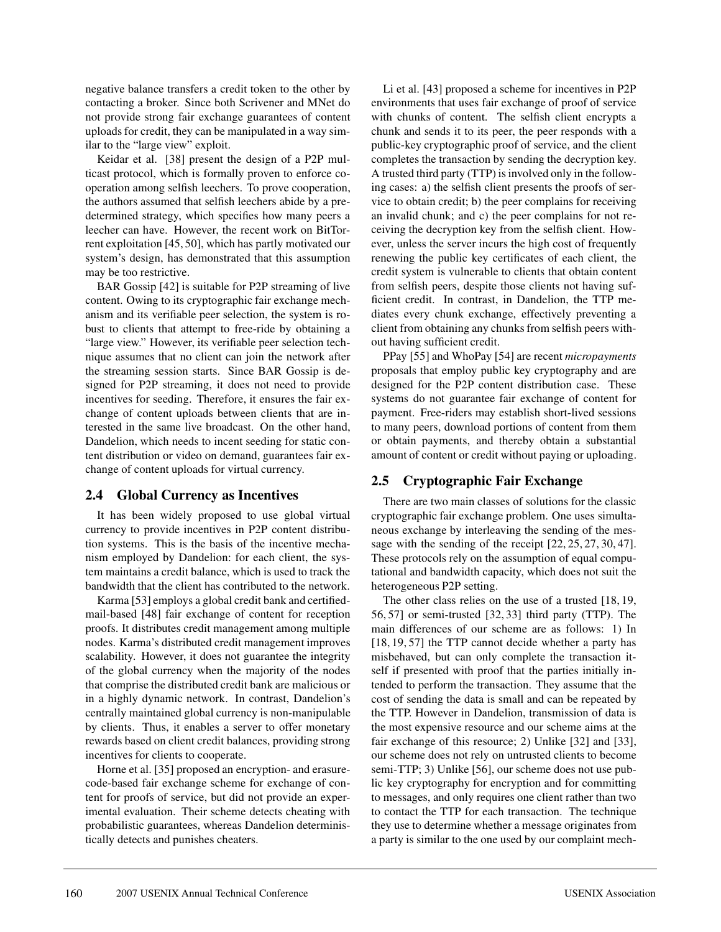negative balance transfers a credit token to the other by contacting a broker. Since both Scrivener and MNet do not provide strong fair exchange guarantees of content uploads for credit, they can be manipulated in a way similar to the "large view" exploit.

Keidar et al. [38] present the design of a P2P multicast protocol, which is formally proven to enforce cooperation among selfish leechers. To prove cooperation, the authors assumed that selfish leechers abide by a predetermined strategy, which specifies how many peers a leecher can have. However, the recent work on BitTorrent exploitation [45, 50], which has partly motivated our system's design, has demonstrated that this assumption may be too restrictive.

BAR Gossip [42] is suitable for P2P streaming of live content. Owing to its cryptographic fair exchange mechanism and its verifiable peer selection, the system is robust to clients that attempt to free-ride by obtaining a "large view." However, its verifiable peer selection technique assumes that no client can join the network after the streaming session starts. Since BAR Gossip is designed for P2P streaming, it does not need to provide incentives for seeding. Therefore, it ensures the fair exchange of content uploads between clients that are interested in the same live broadcast. On the other hand, Dandelion, which needs to incent seeding for static content distribution or video on demand, guarantees fair exchange of content uploads for virtual currency.

### **2.4 Global Currency as Incentives**

It has been widely proposed to use global virtual currency to provide incentives in P2P content distribution systems. This is the basis of the incentive mechanism employed by Dandelion: for each client, the system maintains a credit balance, which is used to track the bandwidth that the client has contributed to the network.

Karma [53] employs a global credit bank and certifiedmail-based [48] fair exchange of content for reception proofs. It distributes credit management among multiple nodes. Karma's distributed credit management improves scalability. However, it does not guarantee the integrity of the global currency when the majority of the nodes that comprise the distributed credit bank are malicious or in a highly dynamic network. In contrast, Dandelion's centrally maintained global currency is non-manipulable by clients. Thus, it enables a server to offer monetary rewards based on client credit balances, providing strong incentives for clients to cooperate.

Horne et al. [35] proposed an encryption- and erasurecode-based fair exchange scheme for exchange of content for proofs of service, but did not provide an experimental evaluation. Their scheme detects cheating with probabilistic guarantees, whereas Dandelion deterministically detects and punishes cheaters.

Li et al. [43] proposed a scheme for incentives in P2P environments that uses fair exchange of proof of service with chunks of content. The selfish client encrypts a chunk and sends it to its peer, the peer responds with a public-key cryptographic proof of service, and the client completes the transaction by sending the decryption key. A trusted third party (TTP) is involved only in the following cases: a) the selfish client presents the proofs of service to obtain credit; b) the peer complains for receiving an invalid chunk; and c) the peer complains for not receiving the decryption key from the selfish client. However, unless the server incurs the high cost of frequently renewing the public key certificates of each client, the credit system is vulnerable to clients that obtain content from selfish peers, despite those clients not having sufficient credit. In contrast, in Dandelion, the TTP mediates every chunk exchange, effectively preventing a client from obtaining any chunks from selfish peers without having sufficient credit.

PPay [55] and WhoPay [54] are recent *micropayments* proposals that employ public key cryptography and are designed for the P2P content distribution case. These systems do not guarantee fair exchange of content for payment. Free-riders may establish short-lived sessions to many peers, download portions of content from them or obtain payments, and thereby obtain a substantial amount of content or credit without paying or uploading.

## **2.5 Cryptographic Fair Exchange**

There are two main classes of solutions for the classic cryptographic fair exchange problem. One uses simultaneous exchange by interleaving the sending of the message with the sending of the receipt [22, 25, 27, 30, 47]. These protocols rely on the assumption of equal computational and bandwidth capacity, which does not suit the heterogeneous P2P setting.

The other class relies on the use of a trusted [18, 19, 56, 57] or semi-trusted [32, 33] third party (TTP). The main differences of our scheme are as follows: 1) In [18, 19, 57] the TTP cannot decide whether a party has misbehaved, but can only complete the transaction itself if presented with proof that the parties initially intended to perform the transaction. They assume that the cost of sending the data is small and can be repeated by the TTP. However in Dandelion, transmission of data is the most expensive resource and our scheme aims at the fair exchange of this resource; 2) Unlike [32] and [33], our scheme does not rely on untrusted clients to become semi-TTP; 3) Unlike [56], our scheme does not use public key cryptography for encryption and for committing to messages, and only requires one client rather than two to contact the TTP for each transaction. The technique they use to determine whether a message originates from a party is similar to the one used by our complaint mech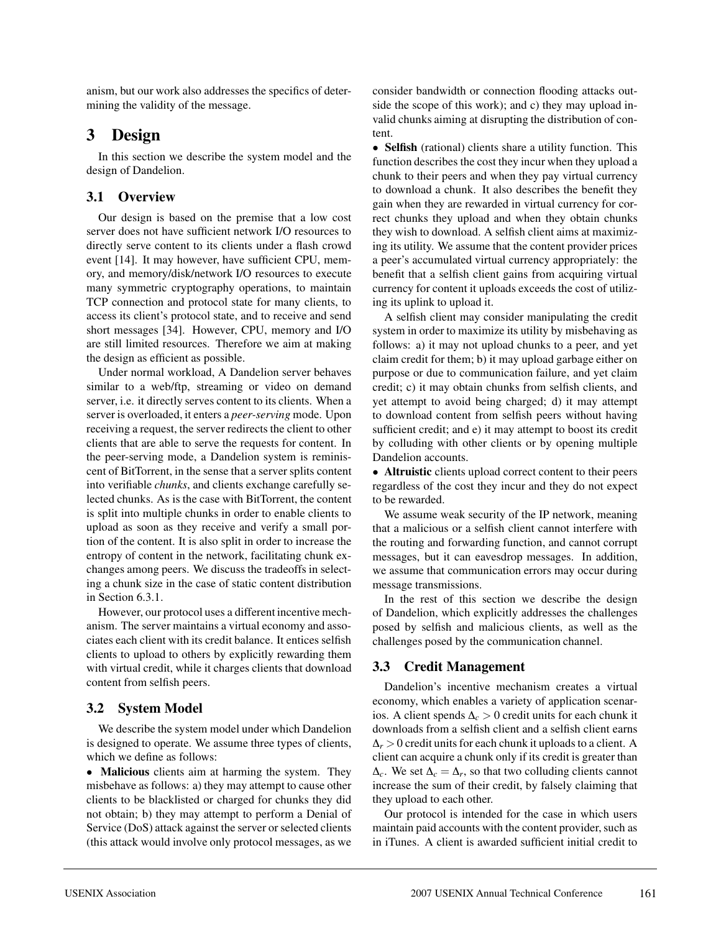anism, but our work also addresses the specifics of determining the validity of the message.

# **3 Design**

In this section we describe the system model and the design of Dandelion.

## **3.1 Overview**

Our design is based on the premise that a low cost server does not have sufficient network I/O resources to directly serve content to its clients under a flash crowd event [14]. It may however, have sufficient CPU, memory, and memory/disk/network I/O resources to execute many symmetric cryptography operations, to maintain TCP connection and protocol state for many clients, to access its client's protocol state, and to receive and send short messages [34]. However, CPU, memory and I/O are still limited resources. Therefore we aim at making the design as efficient as possible.

Under normal workload, A Dandelion server behaves similar to a web/ftp, streaming or video on demand server, i.e. it directly serves content to its clients. When a server is overloaded, it enters a *peer-serving* mode. Upon receiving a request, the server redirects the client to other clients that are able to serve the requests for content. In the peer-serving mode, a Dandelion system is reminiscent of BitTorrent, in the sense that a server splits content into verifiable *chunks*, and clients exchange carefully selected chunks. As is the case with BitTorrent, the content is split into multiple chunks in order to enable clients to upload as soon as they receive and verify a small portion of the content. It is also split in order to increase the entropy of content in the network, facilitating chunk exchanges among peers. We discuss the tradeoffs in selecting a chunk size in the case of static content distribution in Section 6.3.1.

However, our protocol uses a different incentive mechanism. The server maintains a virtual economy and associates each client with its credit balance. It entices selfish clients to upload to others by explicitly rewarding them with virtual credit, while it charges clients that download content from selfish peers.

## **3.2 System Model**

We describe the system model under which Dandelion is designed to operate. We assume three types of clients, which we define as follows:

• **Malicious** clients aim at harming the system. They misbehave as follows: a) they may attempt to cause other clients to be blacklisted or charged for chunks they did not obtain; b) they may attempt to perform a Denial of Service (DoS) attack against the server or selected clients (this attack would involve only protocol messages, as we

consider bandwidth or connection flooding attacks outside the scope of this work); and c) they may upload invalid chunks aiming at disrupting the distribution of content.

• **Selfish** (rational) clients share a utility function. This function describes the cost they incur when they upload a chunk to their peers and when they pay virtual currency to download a chunk. It also describes the benefit they gain when they are rewarded in virtual currency for correct chunks they upload and when they obtain chunks they wish to download. A selfish client aims at maximizing its utility. We assume that the content provider prices a peer's accumulated virtual currency appropriately: the benefit that a selfish client gains from acquiring virtual currency for content it uploads exceeds the cost of utilizing its uplink to upload it.

A selfish client may consider manipulating the credit system in order to maximize its utility by misbehaving as follows: a) it may not upload chunks to a peer, and yet claim credit for them; b) it may upload garbage either on purpose or due to communication failure, and yet claim credit; c) it may obtain chunks from selfish clients, and yet attempt to avoid being charged; d) it may attempt to download content from selfish peers without having sufficient credit; and e) it may attempt to boost its credit by colluding with other clients or by opening multiple Dandelion accounts.

• **Altruistic** clients upload correct content to their peers regardless of the cost they incur and they do not expect to be rewarded.

We assume weak security of the IP network, meaning that a malicious or a selfish client cannot interfere with the routing and forwarding function, and cannot corrupt messages, but it can eavesdrop messages. In addition, we assume that communication errors may occur during message transmissions.

In the rest of this section we describe the design of Dandelion, which explicitly addresses the challenges posed by selfish and malicious clients, as well as the challenges posed by the communication channel.

## **3.3 Credit Management**

Dandelion's incentive mechanism creates a virtual economy, which enables a variety of application scenarios. A client spends ∆*<sup>c</sup>* > 0 credit units for each chunk it downloads from a selfish client and a selfish client earns ∆*<sup>r</sup>* > 0 credit units for each chunk it uploads to a client. A client can acquire a chunk only if its credit is greater than  $\Delta_c$ . We set  $\Delta_c = \Delta_r$ , so that two colluding clients cannot increase the sum of their credit, by falsely claiming that they upload to each other.

Our protocol is intended for the case in which users maintain paid accounts with the content provider, such as in iTunes. A client is awarded sufficient initial credit to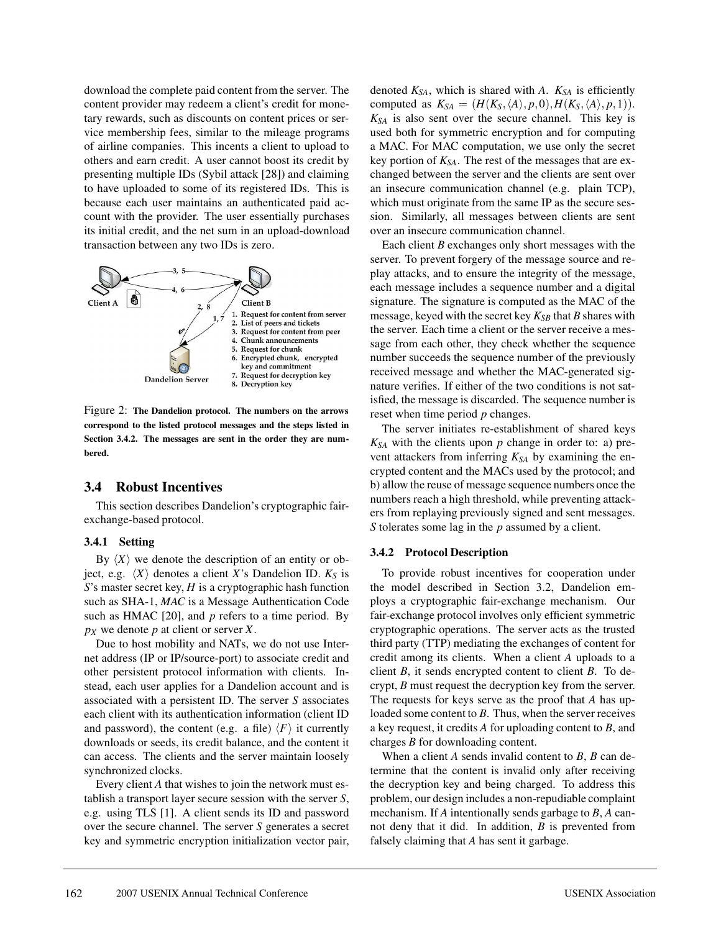download the complete paid content from the server. The content provider may redeem a client's credit for monetary rewards, such as discounts on content prices or service membership fees, similar to the mileage programs of airline companies. This incents a client to upload to others and earn credit. A user cannot boost its credit by presenting multiple IDs (Sybil attack [28]) and claiming to have uploaded to some of its registered IDs. This is because each user maintains an authenticated paid account with the provider. The user essentially purchases its initial credit, and the net sum in an upload-download transaction between any two IDs is zero.



Figure 2: **The Dandelion protocol. The numbers on the arrows correspond to the listed protocol messages and the steps listed in Section 3.4.2. The messages are sent in the order they are numbered.**

#### **3.4 Robust Incentives**

This section describes Dandelion's cryptographic fairexchange-based protocol.

#### **3.4.1 Setting**

By  $\langle X \rangle$  we denote the description of an entity or object, e.g.  $\langle X \rangle$  denotes a client *X*'s Dandelion ID.  $K_S$  is *S*'s master secret key, *H* is a cryptographic hash function such as SHA-1, *MAC* is a Message Authentication Code such as HMAC [20], and *p* refers to a time period. By *pX* we denote *p* at client or server *X*.

Due to host mobility and NATs, we do not use Internet address (IP or IP/source-port) to associate credit and other persistent protocol information with clients. Instead, each user applies for a Dandelion account and is associated with a persistent ID. The server *S* associates each client with its authentication information (client ID and password), the content (e.g. a file)  $\langle F \rangle$  it currently downloads or seeds, its credit balance, and the content it can access. The clients and the server maintain loosely synchronized clocks.

Every client *A* that wishes to join the network must establish a transport layer secure session with the server *S*, e.g. using TLS [1]. A client sends its ID and password over the secure channel. The server *S* generates a secret key and symmetric encryption initialization vector pair, denoted  $K_{SA}$ , which is shared with *A*.  $K_{SA}$  is efficiently computed as  $K_{SA} = (H(K_S, \langle A \rangle, p, 0), H(K_S, \langle A \rangle, p, 1)).$  $K_{SA}$  is also sent over the secure channel. This key is used both for symmetric encryption and for computing a MAC. For MAC computation, we use only the secret key portion of *KSA*. The rest of the messages that are exchanged between the server and the clients are sent over an insecure communication channel (e.g. plain TCP), which must originate from the same IP as the secure session. Similarly, all messages between clients are sent over an insecure communication channel.

Each client *B* exchanges only short messages with the server. To prevent forgery of the message source and replay attacks, and to ensure the integrity of the message, each message includes a sequence number and a digital signature. The signature is computed as the MAC of the message, keyed with the secret key  $K_{SB}$  that *B* shares with the server. Each time a client or the server receive a message from each other, they check whether the sequence number succeeds the sequence number of the previously received message and whether the MAC-generated signature verifies. If either of the two conditions is not satisfied, the message is discarded. The sequence number is reset when time period *p* changes.

The server initiates re-establishment of shared keys  $K_{SA}$  with the clients upon  $p$  change in order to: a) prevent attackers from inferring  $K_{SA}$  by examining the encrypted content and the MACs used by the protocol; and b) allow the reuse of message sequence numbers once the numbers reach a high threshold, while preventing attackers from replaying previously signed and sent messages. *S* tolerates some lag in the *p* assumed by a client.

#### **3.4.2 Protocol Description**

To provide robust incentives for cooperation under the model described in Section 3.2, Dandelion employs a cryptographic fair-exchange mechanism. Our fair-exchange protocol involves only efficient symmetric cryptographic operations. The server acts as the trusted third party (TTP) mediating the exchanges of content for credit among its clients. When a client *A* uploads to a client *B*, it sends encrypted content to client *B*. To decrypt, *B* must request the decryption key from the server. The requests for keys serve as the proof that *A* has uploaded some content to *B*. Thus, when the server receives a key request, it credits *A* for uploading content to *B*, and charges *B* for downloading content.

When a client *A* sends invalid content to *B*, *B* can determine that the content is invalid only after receiving the decryption key and being charged. To address this problem, our design includes a non-repudiable complaint mechanism. If *A* intentionally sends garbage to *B*, *A* cannot deny that it did. In addition, *B* is prevented from falsely claiming that *A* has sent it garbage.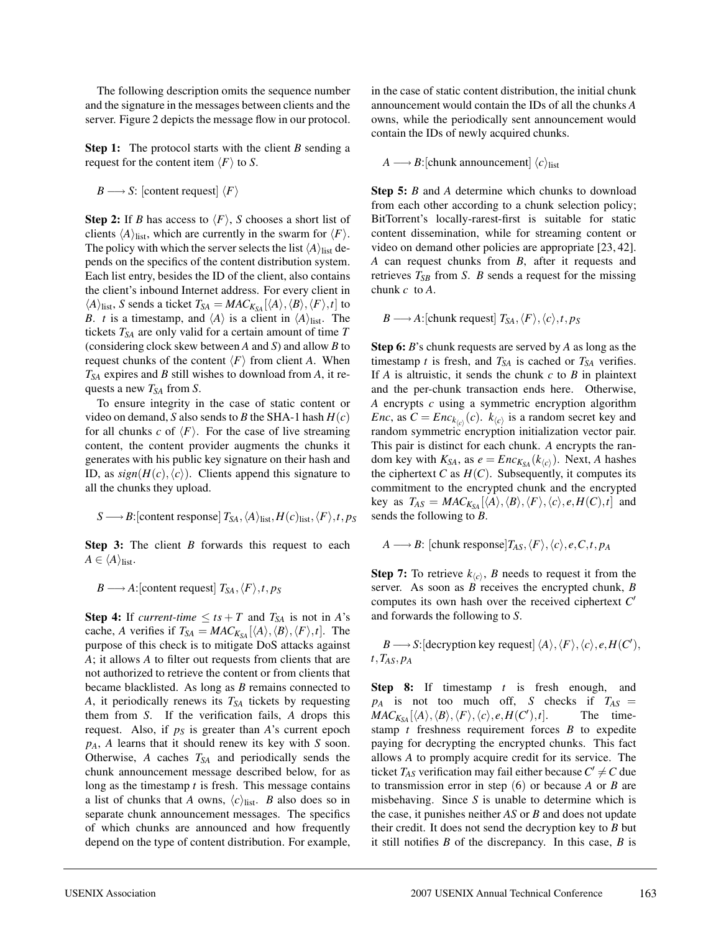The following description omits the sequence number and the signature in the messages between clients and the server. Figure 2 depicts the message flow in our protocol.

**Step 1:** The protocol starts with the client *B* sending a request for the content item  $\langle F \rangle$  to *S*.

$$
B \longrightarrow S
$$
: [content request]  $\langle F \rangle$ 

**Step 2:** If *B* has access to  $\langle F \rangle$ , *S* chooses a short list of clients  $\langle A \rangle_{\text{list}}$ , which are currently in the swarm for  $\langle F \rangle$ . The policy with which the server selects the list  $\langle A \rangle_{\text{list}}$  depends on the specifics of the content distribution system. Each list entry, besides the ID of the client, also contains the client's inbound Internet address. For every client in  $\langle A \rangle$ <sub>list</sub>, *S* sends a ticket  $T_{SA} = MAC_{K_{SA}}[\langle A \rangle, \langle B \rangle, \langle F \rangle, t]$  to *B*. *t* is a timestamp, and  $\langle A \rangle$  is a client in  $\langle A \rangle$ <sub>list</sub>. The tickets *TSA* are only valid for a certain amount of time *T* (considering clock skew between *A* and *S*) and allow *B* to request chunks of the content  $\langle F \rangle$  from client *A*. When *TSA* expires and *B* still wishes to download from *A*, it requests a new  $T<sub>SA</sub>$  from *S*.

To ensure integrity in the case of static content or video on demand, *S* also sends to *B* the SHA-1 hash  $H(c)$ for all chunks *c* of  $\langle F \rangle$ . For the case of live streaming content, the content provider augments the chunks it generates with his public key signature on their hash and ID, as  $sign(H(c), \langle c \rangle)$ . Clients append this signature to all the chunks they upload.

$$
S \longrightarrow B: [\text{content response}] \; T_{SA}, \langle A \rangle_{\text{list}}, H(c)_{\text{list}}, \langle F \rangle, t, p_S
$$

**Step 3:** The client *B* forwards this request to each  $A \in \langle A \rangle$ <sub>list</sub>.

### *B*  $\longrightarrow$  *A*:[content request]  $T_{SA}, \langle F \rangle, t, p_S$

**Step 4:** If *current-time*  $\leq ts + T$  and  $T_{SA}$  is not in *A*'s cache, *A* verifies if  $T_{SA} = MAC_{K_{SA}}[\langle A \rangle, \langle B \rangle, \langle F \rangle, t]$ . The purpose of this check is to mitigate DoS attacks against *A*; it allows *A* to filter out requests from clients that are not authorized to retrieve the content or from clients that became blacklisted. As long as *B* remains connected to *A*, it periodically renews its *T<sub>SA</sub>* tickets by requesting them from *S*. If the verification fails, *A* drops this request. Also, if  $p<sub>S</sub>$  is greater than *A*'s current epoch *pA*, *A* learns that it should renew its key with *S* soon. Otherwise,  $A$  caches  $T<sub>SA</sub>$  and periodically sends the chunk announcement message described below, for as long as the timestamp *t* is fresh. This message contains a list of chunks that *A* owns,  $\langle c \rangle$ <sub>list</sub>. *B* also does so in separate chunk announcement messages. The specifics of which chunks are announced and how frequently depend on the type of content distribution. For example, in the case of static content distribution, the initial chunk announcement would contain the IDs of all the chunks *A* owns, while the periodically sent announcement would contain the IDs of newly acquired chunks.

$$
A \longrightarrow B
$$
: [chunk announcement]  $\langle c \rangle_{\text{list}}$ 

**Step 5:** *B* and *A* determine which chunks to download from each other according to a chunk selection policy; BitTorrent's locally-rarest-first is suitable for static content dissemination, while for streaming content or video on demand other policies are appropriate [23, 42]. *A* can request chunks from *B*, after it requests and retrieves *TSB* from *S*. *B* sends a request for the missing chunk *c* to *A*.

$$
B \longrightarrow A
$$
: [chunk request]  $T_{SA}$ ,  $\langle F \rangle$ ,  $\langle c \rangle$ , t,  $p_S$ 

**Step 6:** *B*'s chunk requests are served by *A* as long as the timestamp  $t$  is fresh, and  $T_{SA}$  is cached or  $T_{SA}$  verifies. If *A* is altruistic, it sends the chunk *c* to *B* in plaintext and the per-chunk transaction ends here. Otherwise, *A* encrypts *c* using a symmetric encryption algorithm *Enc*, as  $C = Enc_{k_{(c)}}(c)$ .  $k_{(c)}$  is a random secret key and random symmetric encryption initialization vector pair. This pair is distinct for each chunk. *A* encrypts the random key with  $K_{SA}$ , as  $e = Enc_{K_{SA}}(k_{\langle c \rangle})$ . Next, *A* hashes the ciphertext *C* as  $H(C)$ . Subsequently, it computes its commitment to the encrypted chunk and the encrypted key as  $T_{AS} = MAC_{K_{SA}}[\langle A \rangle, \langle B \rangle, \langle F \rangle, \langle c \rangle, e, H(C), t]$  and sends the following to *B*.

$$
A \longrightarrow B
$$
: [chunk response] $T_{AS}$ ,  $\langle F \rangle$ ,  $\langle c \rangle$ , *e*, *C*, *t*, *p<sub>A</sub>*

**Step 7:** To retrieve  $k_{\langle c \rangle}$ , *B* needs to request it from the server. As soon as *B* receives the encrypted chunk, *B* computes its own hash over the received ciphertext  $C'$ and forwards the following to *S*.

*B*  $\longrightarrow$  *S*: [decryption key request]  $\langle A \rangle$ ,  $\langle F \rangle$ ,  $\langle c \rangle$ ,  $e$ ,  $H(C')$ , *t*,*TAS*, *pA*

**Step 8:** If timestamp *t* is fresh enough, and  $p_A$  is not too much off, *S* checks if  $T_{AS}$  =  $MAC_{K_{SA}}[\langle A \rangle, \langle B \rangle, \langle F \rangle, \langle c \rangle, e, H(C'), t].$ The timestamp *t* freshness requirement forces *B* to expedite paying for decrypting the encrypted chunks. This fact allows *A* to promply acquire credit for its service. The ticket  $T_{AS}$  verification may fail either because  $C' \neq C$  due to transmission error in step (6) or because *A* or *B* are misbehaving. Since *S* is unable to determine which is the case, it punishes neither *AS* or *B* and does not update their credit. It does not send the decryption key to *B* but it still notifies *B* of the discrepancy. In this case, *B* is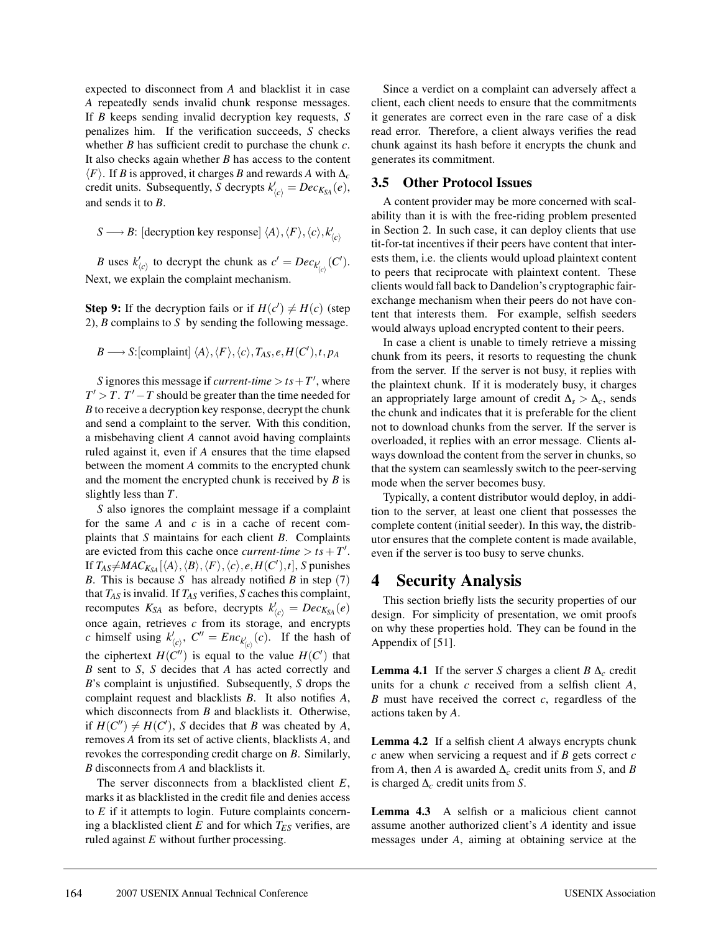expected to disconnect from *A* and blacklist it in case *A* repeatedly sends invalid chunk response messages. If *B* keeps sending invalid decryption key requests, *S* penalizes him. If the verification succeeds, *S* checks whether *B* has sufficient credit to purchase the chunk *c*. It also checks again whether *B* has access to the content  $\langle F \rangle$ . If *B* is approved, it charges *B* and rewards *A* with  $\Delta_c$ credit units. Subsequently, *S* decrypts  $k'_{\langle c \rangle} = Dec_{K_{SA}}(e)$ , and sends it to *B*.

$$
S \longrightarrow B: [decription key response] \langle A \rangle, \langle F \rangle, \langle c \rangle, k'_{\langle c \rangle}
$$

*B* uses  $k'_{\langle c \rangle}$  to decrypt the chunk as  $c' = Dec_{k'_{\langle c \rangle}}(C')$ . Next, we explain the complaint mechanism.

**Step 9:** If the decryption fails or if  $H(c') \neq H(c)$  (step 2), *B* complains to *S* by sending the following message.

$$
B \longrightarrow S: [complaint] \langle A \rangle, \langle F \rangle, \langle c \rangle, T_{AS}, e, H(C'), t, p_A
$$

*S* ignores this message if *current-time*  $> t s + T'$ , where  $T'$  > *T*.  $T'$  – *T* should be greater than the time needed for *B* to receive a decryption key response, decrypt the chunk and send a complaint to the server. With this condition, a misbehaving client *A* cannot avoid having complaints ruled against it, even if *A* ensures that the time elapsed between the moment *A* commits to the encrypted chunk and the moment the encrypted chunk is received by *B* is slightly less than *T*.

*S* also ignores the complaint message if a complaint for the same *A* and *c* is in a cache of recent complaints that *S* maintains for each client *B*. Complaints are evicted from this cache once *current-time*  $> ts + T'$ . If  $T_{AS} \neq MAC_{K_{SA}}[\langle A \rangle, \langle B \rangle, \langle F \rangle, \langle c \rangle, e, H(C'), t]$ , *S* punishes *B*. This is because *S* has already notified *B* in step (7) that *TAS* is invalid. If *TAS* verifies, *S* caches this complaint, recomputes  $K_{SA}$  as before, decrypts  $k'_{\langle c \rangle} = Dec_{K_{SA}}(e)$ once again, retrieves *c* from its storage, and encrypts *c* himself using  $k'_{\langle c \rangle}$ ,  $C'' = Enc_{k'_{\langle c \rangle}}(c)$ . If the hash of the ciphertext  $H(C'')$  is equal to the value  $H(C')$  that *B* sent to *S*, *S* decides that *A* has acted correctly and *B*'s complaint is unjustified. Subsequently, *S* drops the complaint request and blacklists *B*. It also notifies *A*, which disconnects from *B* and blacklists it. Otherwise, if  $H(C'') \neq H(C')$ , *S* decides that *B* was cheated by *A*, removes *A* from its set of active clients, blacklists *A*, and revokes the corresponding credit charge on *B*. Similarly, *B* disconnects from *A* and blacklists it.

The server disconnects from a blacklisted client *E*, marks it as blacklisted in the credit file and denies access to *E* if it attempts to login. Future complaints concerning a blacklisted client  $E$  and for which  $T_{ES}$  verifies, are ruled against *E* without further processing.

Since a verdict on a complaint can adversely affect a client, each client needs to ensure that the commitments it generates are correct even in the rare case of a disk read error. Therefore, a client always verifies the read chunk against its hash before it encrypts the chunk and generates its commitment.

### **3.5 Other Protocol Issues**

A content provider may be more concerned with scalability than it is with the free-riding problem presented in Section 2. In such case, it can deploy clients that use tit-for-tat incentives if their peers have content that interests them, i.e. the clients would upload plaintext content to peers that reciprocate with plaintext content. These clients would fall back to Dandelion's cryptographic fairexchange mechanism when their peers do not have content that interests them. For example, selfish seeders would always upload encrypted content to their peers.

In case a client is unable to timely retrieve a missing chunk from its peers, it resorts to requesting the chunk from the server. If the server is not busy, it replies with the plaintext chunk. If it is moderately busy, it charges an appropriately large amount of credit  $\Delta$ <sub>s</sub> >  $\Delta$ <sub>c</sub>, sends the chunk and indicates that it is preferable for the client not to download chunks from the server. If the server is overloaded, it replies with an error message. Clients always download the content from the server in chunks, so that the system can seamlessly switch to the peer-serving mode when the server becomes busy.

Typically, a content distributor would deploy, in addition to the server, at least one client that possesses the complete content (initial seeder). In this way, the distributor ensures that the complete content is made available, even if the server is too busy to serve chunks.

## **4 Security Analysis**

This section briefly lists the security properties of our design. For simplicity of presentation, we omit proofs on why these properties hold. They can be found in the Appendix of [51].

**Lemma 4.1** If the server *S* charges a client *B*  $\Delta_c$  credit units for a chunk *c* received from a selfish client *A*, *B* must have received the correct *c*, regardless of the actions taken by *A*.

**Lemma 4.2** If a selfish client *A* always encrypts chunk *c* anew when servicing a request and if *B* gets correct *c* from *A*, then *A* is awarded  $\Delta_c$  credit units from *S*, and *B* is charged ∆*<sup>c</sup>* credit units from *S*.

Lemma 4.3 A selfish or a malicious client cannot assume another authorized client's *A* identity and issue messages under *A*, aiming at obtaining service at the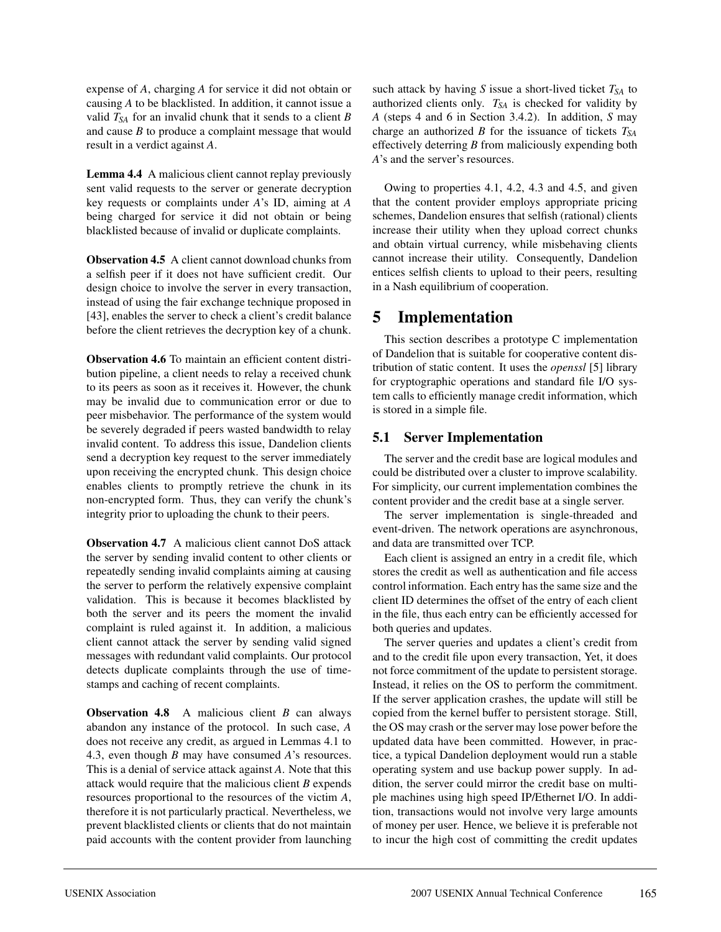expense of *A*, charging *A* for service it did not obtain or causing *A* to be blacklisted. In addition, it cannot issue a valid  $T_{SA}$  for an invalid chunk that it sends to a client *B* and cause *B* to produce a complaint message that would result in a verdict against *A*.

**Lemma 4.4** A malicious client cannot replay previously sent valid requests to the server or generate decryption key requests or complaints under *A*'s ID, aiming at *A* being charged for service it did not obtain or being blacklisted because of invalid or duplicate complaints.

**Observation 4.5** A client cannot download chunks from a selfish peer if it does not have sufficient credit. Our design choice to involve the server in every transaction, instead of using the fair exchange technique proposed in [43], enables the server to check a client's credit balance before the client retrieves the decryption key of a chunk.

**Observation 4.6** To maintain an efficient content distribution pipeline, a client needs to relay a received chunk to its peers as soon as it receives it. However, the chunk may be invalid due to communication error or due to peer misbehavior. The performance of the system would be severely degraded if peers wasted bandwidth to relay invalid content. To address this issue, Dandelion clients send a decryption key request to the server immediately upon receiving the encrypted chunk. This design choice enables clients to promptly retrieve the chunk in its non-encrypted form. Thus, they can verify the chunk's integrity prior to uploading the chunk to their peers.

**Observation 4.7** A malicious client cannot DoS attack the server by sending invalid content to other clients or repeatedly sending invalid complaints aiming at causing the server to perform the relatively expensive complaint validation. This is because it becomes blacklisted by both the server and its peers the moment the invalid complaint is ruled against it. In addition, a malicious client cannot attack the server by sending valid signed messages with redundant valid complaints. Our protocol detects duplicate complaints through the use of timestamps and caching of recent complaints.

**Observation 4.8** A malicious client *B* can always abandon any instance of the protocol. In such case, *A* does not receive any credit, as argued in Lemmas 4.1 to 4.3, even though *B* may have consumed *A*'s resources. This is a denial of service attack against *A*. Note that this attack would require that the malicious client *B* expends resources proportional to the resources of the victim *A*, therefore it is not particularly practical. Nevertheless, we prevent blacklisted clients or clients that do not maintain paid accounts with the content provider from launching

such attack by having *S* issue a short-lived ticket  $T_{SA}$  to authorized clients only.  $T<sub>SA</sub>$  is checked for validity by *A* (steps 4 and 6 in Section 3.4.2). In addition, *S* may charge an authorized *B* for the issuance of tickets  $T_{SA}$ effectively deterring *B* from maliciously expending both *A*'s and the server's resources.

Owing to properties 4.1, 4.2, 4.3 and 4.5, and given that the content provider employs appropriate pricing schemes, Dandelion ensures that selfish (rational) clients increase their utility when they upload correct chunks and obtain virtual currency, while misbehaving clients cannot increase their utility. Consequently, Dandelion entices selfish clients to upload to their peers, resulting in a Nash equilibrium of cooperation.

# **5 Implementation**

This section describes a prototype C implementation of Dandelion that is suitable for cooperative content distribution of static content. It uses the *openssl* [5] library for cryptographic operations and standard file I/O system calls to efficiently manage credit information, which is stored in a simple file.

## **5.1 Server Implementation**

The server and the credit base are logical modules and could be distributed over a cluster to improve scalability. For simplicity, our current implementation combines the content provider and the credit base at a single server.

The server implementation is single-threaded and event-driven. The network operations are asynchronous, and data are transmitted over TCP.

Each client is assigned an entry in a credit file, which stores the credit as well as authentication and file access control information. Each entry has the same size and the client ID determines the offset of the entry of each client in the file, thus each entry can be efficiently accessed for both queries and updates.

The server queries and updates a client's credit from and to the credit file upon every transaction, Yet, it does not force commitment of the update to persistent storage. Instead, it relies on the OS to perform the commitment. If the server application crashes, the update will still be copied from the kernel buffer to persistent storage. Still, the OS may crash or the server may lose power before the updated data have been committed. However, in practice, a typical Dandelion deployment would run a stable operating system and use backup power supply. In addition, the server could mirror the credit base on multiple machines using high speed IP/Ethernet I/O. In addition, transactions would not involve very large amounts of money per user. Hence, we believe it is preferable not to incur the high cost of committing the credit updates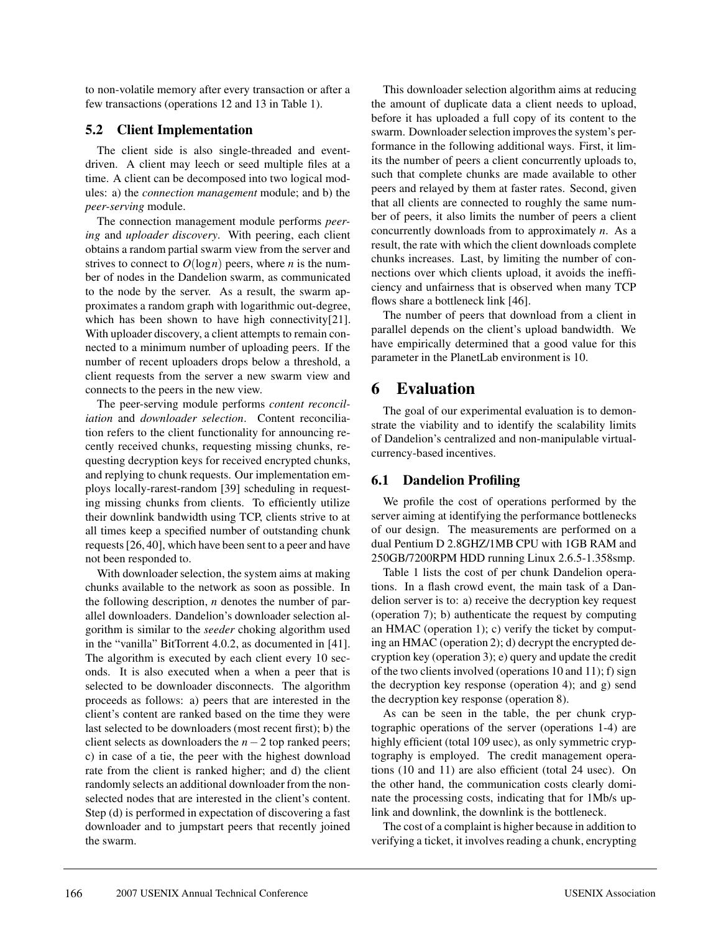to non-volatile memory after every transaction or after a few transactions (operations 12 and 13 in Table 1).

### **5.2 Client Implementation**

The client side is also single-threaded and eventdriven. A client may leech or seed multiple files at a time. A client can be decomposed into two logical modules: a) the *connection management* module; and b) the *peer-serving* module.

The connection management module performs *peering* and *uploader discovery*. With peering, each client obtains a random partial swarm view from the server and strives to connect to  $O(\log n)$  peers, where *n* is the number of nodes in the Dandelion swarm, as communicated to the node by the server. As a result, the swarm approximates a random graph with logarithmic out-degree, which has been shown to have high connectivity[21]. With uploader discovery, a client attempts to remain connected to a minimum number of uploading peers. If the number of recent uploaders drops below a threshold, a client requests from the server a new swarm view and connects to the peers in the new view.

The peer-serving module performs *content reconciliation* and *downloader selection*. Content reconciliation refers to the client functionality for announcing recently received chunks, requesting missing chunks, requesting decryption keys for received encrypted chunks, and replying to chunk requests. Our implementation employs locally-rarest-random [39] scheduling in requesting missing chunks from clients. To efficiently utilize their downlink bandwidth using TCP, clients strive to at all times keep a specified number of outstanding chunk requests [26, 40], which have been sent to a peer and have not been responded to.

With downloader selection, the system aims at making chunks available to the network as soon as possible. In the following description, *n* denotes the number of parallel downloaders. Dandelion's downloader selection algorithm is similar to the *seeder* choking algorithm used in the "vanilla" BitTorrent 4.0.2, as documented in [41]. The algorithm is executed by each client every 10 seconds. It is also executed when a when a peer that is selected to be downloader disconnects. The algorithm proceeds as follows: a) peers that are interested in the client's content are ranked based on the time they were last selected to be downloaders (most recent first); b) the client selects as downloaders the *n*−2 top ranked peers; c) in case of a tie, the peer with the highest download rate from the client is ranked higher; and d) the client randomly selects an additional downloader from the nonselected nodes that are interested in the client's content. Step (d) is performed in expectation of discovering a fast downloader and to jumpstart peers that recently joined the swarm.

This downloader selection algorithm aims at reducing the amount of duplicate data a client needs to upload, before it has uploaded a full copy of its content to the swarm. Downloader selection improves the system's performance in the following additional ways. First, it limits the number of peers a client concurrently uploads to, such that complete chunks are made available to other peers and relayed by them at faster rates. Second, given that all clients are connected to roughly the same number of peers, it also limits the number of peers a client concurrently downloads from to approximately *n*. As a result, the rate with which the client downloads complete chunks increases. Last, by limiting the number of connections over which clients upload, it avoids the inefficiency and unfairness that is observed when many TCP flows share a bottleneck link [46].

The number of peers that download from a client in parallel depends on the client's upload bandwidth. We have empirically determined that a good value for this parameter in the PlanetLab environment is 10.

## **6 Evaluation**

The goal of our experimental evaluation is to demonstrate the viability and to identify the scalability limits of Dandelion's centralized and non-manipulable virtualcurrency-based incentives.

## **6.1 Dandelion Profiling**

We profile the cost of operations performed by the server aiming at identifying the performance bottlenecks of our design. The measurements are performed on a dual Pentium D 2.8GHZ/1MB CPU with 1GB RAM and 250GB/7200RPM HDD running Linux 2.6.5-1.358smp.

Table 1 lists the cost of per chunk Dandelion operations. In a flash crowd event, the main task of a Dandelion server is to: a) receive the decryption key request (operation 7); b) authenticate the request by computing an HMAC (operation 1); c) verify the ticket by computing an HMAC (operation 2); d) decrypt the encrypted decryption key (operation 3); e) query and update the credit of the two clients involved (operations 10 and 11); f) sign the decryption key response (operation 4); and g) send the decryption key response (operation 8).

As can be seen in the table, the per chunk cryptographic operations of the server (operations 1-4) are highly efficient (total 109 usec), as only symmetric cryptography is employed. The credit management operations (10 and 11) are also efficient (total 24 usec). On the other hand, the communication costs clearly dominate the processing costs, indicating that for 1Mb/s uplink and downlink, the downlink is the bottleneck.

The cost of a complaint is higher because in addition to verifying a ticket, it involves reading a chunk, encrypting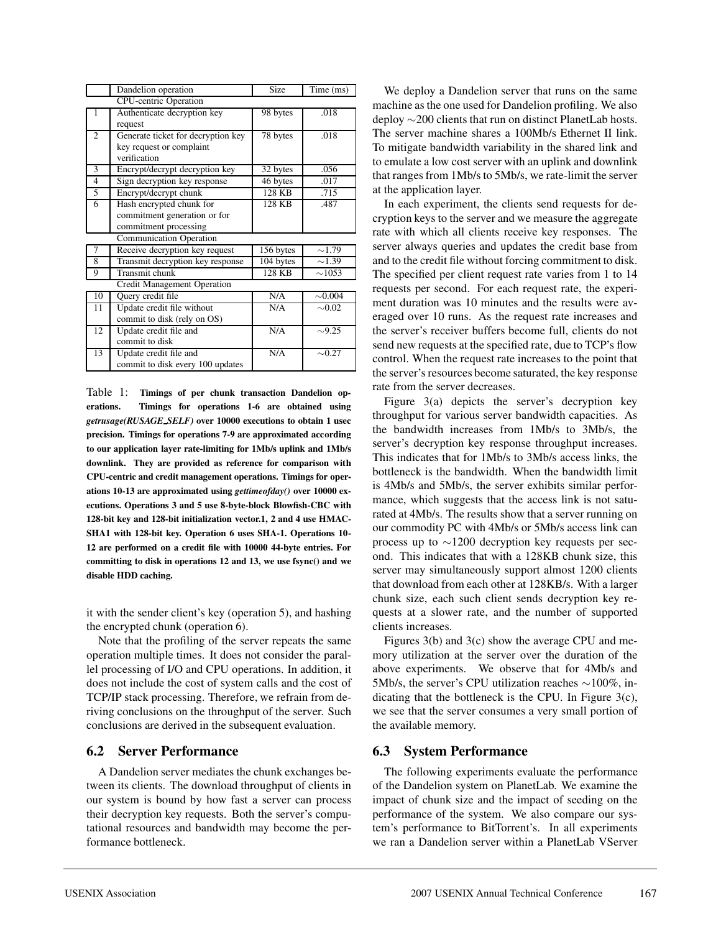| Dandelion operation                | Size                         | Time (ms)     |
|------------------------------------|------------------------------|---------------|
|                                    |                              |               |
| Authenticate decryption key        | 98 bytes                     | .018          |
| request                            |                              |               |
| Generate ticket for decryption key | 78 bytes                     | .018          |
| key request or complaint           |                              |               |
| verification                       |                              |               |
| Encrypt/decrypt decryption key     | 32 bytes                     | .056          |
| Sign decryption key response       | 46 bytes                     | .017          |
| Encrypt/decrypt chunk              | 128 KB                       | .715          |
| Hash encrypted chunk for           | 128 KB                       | .487          |
| commitment generation or for       |                              |               |
| commitment processing              |                              |               |
| <b>Communication Operation</b>     |                              |               |
| Receive decryption key request     | 156 bytes                    | $\sim$ 1.79   |
| Transmit decryption key response   | 104 bytes                    | $\sim$ 1.39   |
| Transmit chunk                     | 128 KB                       | $\sim$ 1053   |
| <b>Credit Management Operation</b> |                              |               |
| Query credit file                  | N/A                          | ${\sim}0.004$ |
| Update credit file without         | $N/\overline{A}$             | $\sim 0.02$   |
| commit to disk (rely on OS)        |                              |               |
| Update credit file and             | N/A                          | $\sim$ 9.25   |
| commit to disk                     |                              |               |
| Update credit file and             | N/A                          | $\sim 0.27$   |
| commit to disk every 100 updates   |                              |               |
|                                    | <b>CPU-centric Operation</b> |               |

Table 1: **Timings of per chunk transaction Dandelion operations. Timings for operations 1-6 are obtained using** *getrusage(RUSAGE SELF)* **over 10000 executions to obtain 1 usec precision. Timings for operations 7-9 are approximated according to our application layer rate-limiting for 1Mb/s uplink and 1Mb/s downlink. They are provided as reference for comparison with CPU-centric and credit management operations. Timings for operations 10-13 are approximated using** *gettimeofday()* **over 10000 executions. Operations 3 and 5 use 8-byte-block Blowfish-CBC with 128-bit key and 128-bit initialization vector.1, 2 and 4 use HMAC-SHA1 with 128-bit key. Operation 6 uses SHA-1. Operations 10- 12 are performed on a credit file with 10000 44-byte entries. For committing to disk in operations 12 and 13, we use fsync() and we disable HDD caching.**

it with the sender client's key (operation 5), and hashing the encrypted chunk (operation 6).

Note that the profiling of the server repeats the same operation multiple times. It does not consider the parallel processing of I/O and CPU operations. In addition, it does not include the cost of system calls and the cost of TCP/IP stack processing. Therefore, we refrain from deriving conclusions on the throughput of the server. Such conclusions are derived in the subsequent evaluation.

### **6.2 Server Performance**

A Dandelion server mediates the chunk exchanges between its clients. The download throughput of clients in our system is bound by how fast a server can process their decryption key requests. Both the server's computational resources and bandwidth may become the performance bottleneck.

We deploy a Dandelion server that runs on the same machine as the one used for Dandelion profiling. We also deploy ∼200 clients that run on distinct PlanetLab hosts. The server machine shares a 100Mb/s Ethernet II link. To mitigate bandwidth variability in the shared link and to emulate a low cost server with an uplink and downlink that ranges from 1Mb/s to 5Mb/s, we rate-limit the server at the application layer.

In each experiment, the clients send requests for decryption keys to the server and we measure the aggregate rate with which all clients receive key responses. The server always queries and updates the credit base from and to the credit file without forcing commitment to disk. The specified per client request rate varies from 1 to 14 requests per second. For each request rate, the experiment duration was 10 minutes and the results were averaged over 10 runs. As the request rate increases and the server's receiver buffers become full, clients do not send new requests at the specified rate, due to TCP's flow control. When the request rate increases to the point that the server's resources become saturated, the key response rate from the server decreases.

Figure 3(a) depicts the server's decryption key throughput for various server bandwidth capacities. As the bandwidth increases from 1Mb/s to 3Mb/s, the server's decryption key response throughput increases. This indicates that for 1Mb/s to 3Mb/s access links, the bottleneck is the bandwidth. When the bandwidth limit is 4Mb/s and 5Mb/s, the server exhibits similar performance, which suggests that the access link is not saturated at 4Mb/s. The results show that a server running on our commodity PC with 4Mb/s or 5Mb/s access link can process up to ∼1200 decryption key requests per second. This indicates that with a 128KB chunk size, this server may simultaneously support almost 1200 clients that download from each other at 128KB/s. With a larger chunk size, each such client sends decryption key requests at a slower rate, and the number of supported clients increases.

Figures 3(b) and 3(c) show the average CPU and memory utilization at the server over the duration of the above experiments. We observe that for 4Mb/s and 5Mb/s, the server's CPU utilization reaches ∼100%, indicating that the bottleneck is the CPU. In Figure 3(c), we see that the server consumes a very small portion of the available memory.

## **6.3 System Performance**

The following experiments evaluate the performance of the Dandelion system on PlanetLab. We examine the impact of chunk size and the impact of seeding on the performance of the system. We also compare our system's performance to BitTorrent's. In all experiments we ran a Dandelion server within a PlanetLab VServer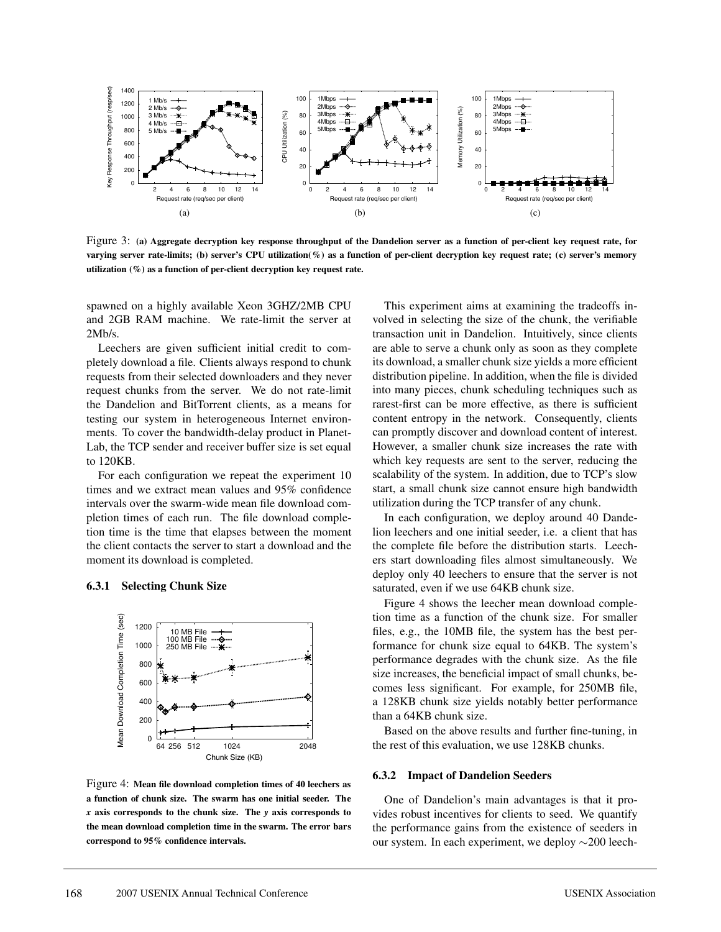

Figure 3: **(a) Aggregate decryption key response throughput of the Dandelion server as a function of per-client key request rate, for varying server rate-limits; (b) server's CPU utilization(%) as a function of per-client decryption key request rate; (c) server's memory utilization (%) as a function of per-client decryption key request rate.**

spawned on a highly available Xeon 3GHZ/2MB CPU and 2GB RAM machine. We rate-limit the server at 2Mb/s.

Leechers are given sufficient initial credit to completely download a file. Clients always respond to chunk requests from their selected downloaders and they never request chunks from the server. We do not rate-limit the Dandelion and BitTorrent clients, as a means for testing our system in heterogeneous Internet environments. To cover the bandwidth-delay product in Planet-Lab, the TCP sender and receiver buffer size is set equal to 120KB.

For each configuration we repeat the experiment 10 times and we extract mean values and 95% confidence intervals over the swarm-wide mean file download completion times of each run. The file download completion time is the time that elapses between the moment the client contacts the server to start a download and the moment its download is completed.

#### 0 200 400 600 800 1000 1200 Mean Download Completion Time (sec)  $\frac{66}{96}$ <br>  $\frac{66}{96}$ <br>  $\frac{1200}{250 \text{ MB File}}$ <br>  $\frac{1200}{250 \text{ MB File}}$ <br>  $\frac{1200}{250 \text{ MB File}}$ <br>  $\frac{250 \text{ MB File}}{250 \text{ MB File}}$ <br>  $\frac{360}{364}$ <br>  $\frac{360}{364}$ <br>  $\frac{360}{364}$ <br>  $\frac{360}{364}$ <br>  $\frac{360}{364}$ <br>  $\frac{360}{364}$ <br>  $\frac{360}{364}$ <br> Chunk Size (KB) 10 MB File 100 MB File 250 MB File

#### **6.3.1 Selecting Chunk Size**

Figure 4: **Mean file download completion times of 40 leechers as a function of chunk size. The swarm has one initial seeder. The** *x* **axis corresponds to the chunk size. The** *y* **axis corresponds to the mean download completion time in the swarm. The error bars correspond to 95% confidence intervals.**

This experiment aims at examining the tradeoffs involved in selecting the size of the chunk, the verifiable transaction unit in Dandelion. Intuitively, since clients are able to serve a chunk only as soon as they complete its download, a smaller chunk size yields a more efficient distribution pipeline. In addition, when the file is divided into many pieces, chunk scheduling techniques such as rarest-first can be more effective, as there is sufficient content entropy in the network. Consequently, clients can promptly discover and download content of interest. However, a smaller chunk size increases the rate with which key requests are sent to the server, reducing the scalability of the system. In addition, due to TCP's slow start, a small chunk size cannot ensure high bandwidth utilization during the TCP transfer of any chunk.

In each configuration, we deploy around 40 Dandelion leechers and one initial seeder, i.e. a client that has the complete file before the distribution starts. Leechers start downloading files almost simultaneously. We deploy only 40 leechers to ensure that the server is not saturated, even if we use 64KB chunk size.

Figure 4 shows the leecher mean download completion time as a function of the chunk size. For smaller files, e.g., the 10MB file, the system has the best performance for chunk size equal to 64KB. The system's performance degrades with the chunk size. As the file size increases, the beneficial impact of small chunks, becomes less significant. For example, for 250MB file, a 128KB chunk size yields notably better performance than a 64KB chunk size.

Based on the above results and further fine-tuning, in the rest of this evaluation, we use 128KB chunks.

#### **6.3.2 Impact of Dandelion Seeders**

One of Dandelion's main advantages is that it provides robust incentives for clients to seed. We quantify the performance gains from the existence of seeders in our system. In each experiment, we deploy ∼200 leech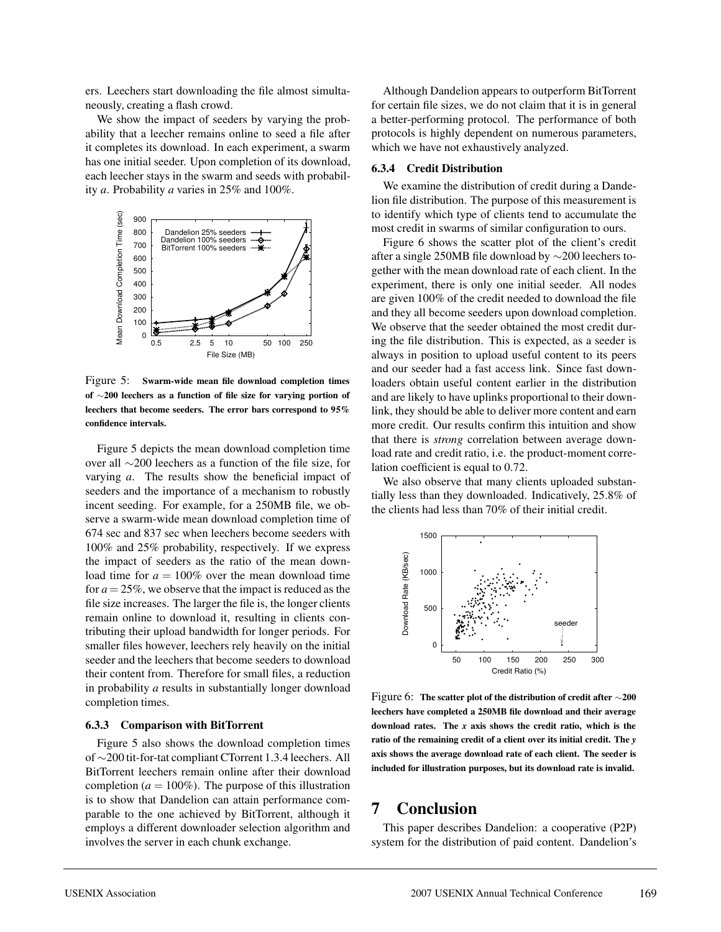ers. Leechers start downloading the file almost simultaneously, creating a flash crowd.

We show the impact of seeders by varying the probability that a leecher remains online to seed a file after it completes its download. In each experiment, a swarm has one initial seeder. Upon completion of its download, each leecher stays in the swarm and seeds with probability *a*. Probability *a* varies in 25% and 100%.



Figure 5: **Swarm-wide mean file download completion times of** ∼**200 leechers as a function of file size for varying portion of leechers that become seeders. The error bars correspond to 95% confidence intervals.**

Figure 5 depicts the mean download completion time over all ∼200 leechers as a function of the file size, for varying *a*. The results show the beneficial impact of seeders and the importance of a mechanism to robustly incent seeding. For example, for a 250MB file, we observe a swarm-wide mean download completion time of 674 sec and 837 sec when leechers become seeders with 100% and 25% probability, respectively. If we express the impact of seeders as the ratio of the mean download time for  $a = 100\%$  over the mean download time for  $a = 25\%$ , we observe that the impact is reduced as the file size increases. The larger the file is, the longer clients remain online to download it, resulting in clients contributing their upload bandwidth for longer periods. For smaller files however, leechers rely heavily on the initial seeder and the leechers that become seeders to download their content from. Therefore for small files, a reduction in probability *a* results in substantially longer download completion times.

#### **6.3.3 Comparison with BitTorrent**

Figure 5 also shows the download completion times of ∼200 tit-for-tat compliant CTorrent 1.3.4 leechers. All BitTorrent leechers remain online after their download completion ( $a = 100\%$ ). The purpose of this illustration is to show that Dandelion can attain performance comparable to the one achieved by BitTorrent, although it employs a different downloader selection algorithm and involves the server in each chunk exchange.

Although Dandelion appears to outperform BitTorrent for certain file sizes, we do not claim that it is in general a better-performing protocol. The performance of both protocols is highly dependent on numerous parameters, which we have not exhaustively analyzed.

#### **6.3.4 Credit Distribution**

We examine the distribution of credit during a Dandelion file distribution. The purpose of this measurement is to identify which type of clients tend to accumulate the most credit in swarms of similar configuration to ours.

Figure 6 shows the scatter plot of the client's credit after a single 250MB file download by ∼200 leechers together with the mean download rate of each client. In the experiment, there is only one initial seeder. All nodes are given 100% of the credit needed to download the file and they all become seeders upon download completion. We observe that the seeder obtained the most credit during the file distribution. This is expected, as a seeder is always in position to upload useful content to its peers and our seeder had a fast access link. Since fast downloaders obtain useful content earlier in the distribution and are likely to have uplinks proportional to their downlink, they should be able to deliver more content and earn more credit. Our results confirm this intuition and show that there is *strong* correlation between average download rate and credit ratio, i.e. the product-moment correlation coefficient is equal to 0.72.

We also observe that many clients uploaded substantially less than they downloaded. Indicatively, 25.8% of the clients had less than 70% of their initial credit.



Figure 6: **The scatter plot of the distribution of credit after** ∼**200 leechers have completed a 250MB file download and their average download rates. The** *x* **axis shows the credit ratio, which is the ratio of the remaining credit of a client over its initial credit. The** *y* **axis shows the average download rate of each client. The seeder is included for illustration purposes, but its download rate is invalid.**

## **7 Conclusion**

This paper describes Dandelion: a cooperative (P2P) system for the distribution of paid content. Dandelion's